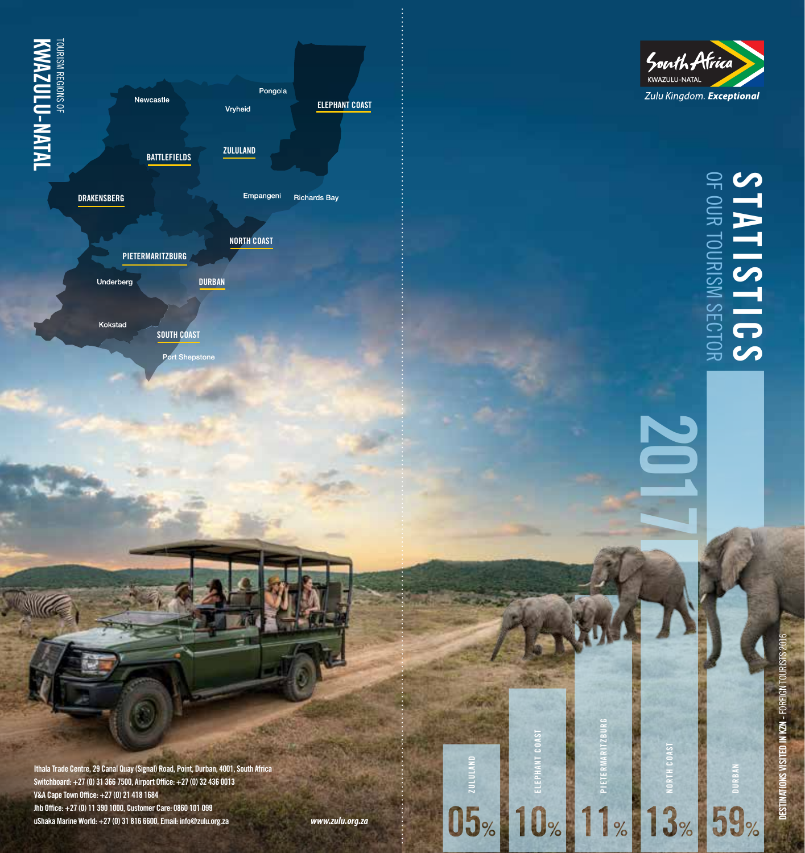**IVAN-MOLU-NATAL**<br>**KWAZULU-NATAL** TOURISM REGIONS OF **KWAZULU-NATAL**



**DURBAN**

**NORTH COAST**

**DRAKENSBERG**

**PIETERMARITZBURG**

Underberg

Kokstad

**SOUTH COAST**

Port Shepstone

**Ithala Trade Centre, 29 Canal Quay (Signal) Road, Point, Durban, 4001, South Africa Switchboard: +27 (0) 31 366 7500, Airport Office: +27 (0) 32 436 0013 V&A Cape Town Office: +27 (0) 21 418 1684 Jhb Office: +27 (0) 11 390 1000, Customer Care: 0860 101 099 uShaka Marine World: +27 (0) 31 816 6600, Email: info@zulu.org.za**

**ZULULAND**

**ELEPHANT COAST**

 $05$ <sub>%</sub>  $10$ <sub>%</sub>  $1$ 

**PIETERMARITZBURG**

 $|%$ 



# **STATISTICS** OF OUR TOURISM SECTOR **STATISTICS**

**2017**

**NORTH COAST**

 $13%$ 

**DURBAN**

 $159%$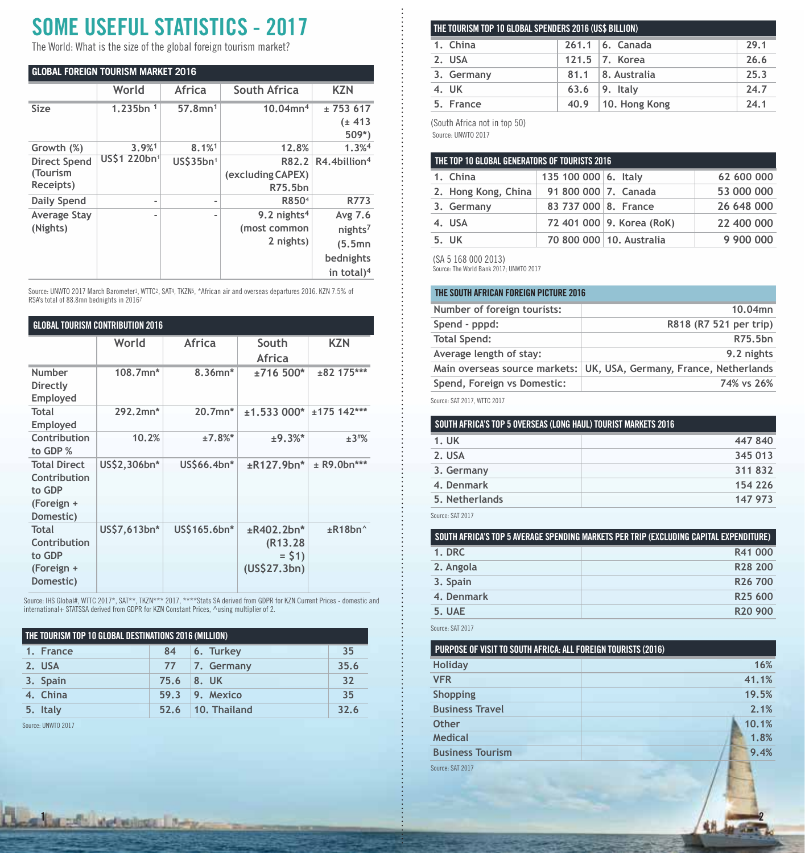# **SOME USEFUL STATISTICS - 2017**

The World: What is the size of the global foreign tourism market?

| <b>GLOBAL FOREIGN TOURISM MARKET 2016</b>    |                |                        |                                             |                                                                                  |
|----------------------------------------------|----------------|------------------------|---------------------------------------------|----------------------------------------------------------------------------------|
|                                              | World          | Africa                 | South Africa                                | <b>KZN</b>                                                                       |
| Size                                         | 1.235bn $1$    | $57.8$ mn <sup>1</sup> | $10.04$ mn <sup>4</sup>                     | ± 753617<br>(± 413)<br>$509*)$                                                   |
| Growth (%)                                   | 3.9%1          | $8.1%$ <sup>1</sup>    | 12.8%                                       | 1.3% <sup>4</sup>                                                                |
| <b>Direct Spend</b><br>(Tourism<br>Receipts) | US\$1 220bn1   | US\$35bn <sup>1</sup>  | R82.2<br>(excluding CAPEX)<br>R75.5bn       | $R4.4$ billion <sup>4</sup>                                                      |
| Daily Spend                                  | $\blacksquare$ | -                      | R850 <sup>4</sup>                           | R773                                                                             |
| <b>Average Stay</b><br>(Nights)              | $\overline{a}$ | -                      | 9.2 nights $4$<br>(most common<br>2 nights) | Avg 7.6<br>nights <sup>7</sup><br>(5.5mn)<br>bednights<br>in total) <sup>4</sup> |

Source: UNWTO 2017 March Barometer<sup>1</sup>, WTTC<sup>2</sup>, SAT4, TKZN5, \*African air and overseas departures 2016. KZN 7.5% of<br>RSA's total of 88.8mn bednights in 2016<sup>7</sup>

| <b>GLOBAL TOURISM CONTRIBUTION 2016</b> |              |              |                        |                          |
|-----------------------------------------|--------------|--------------|------------------------|--------------------------|
|                                         | World        | Africa       | South                  | <b>KZN</b>               |
|                                         |              |              | Africa                 |                          |
| Number                                  | 108.7mn*     | 8.36mn*      | ±716 500*              | ±82 175***               |
| Directly                                |              |              |                        |                          |
| Employed                                |              |              |                        |                          |
| Total<br>Employed                       | 292.2mn*     | 20.7mn*      | $±1.533000*$           | $±175$ 142***            |
| Contribution                            | 10.2%        | $±7.8%$ *    | $±9.3%$ *              | ±3#%                     |
| to GDP %                                |              |              |                        |                          |
| <b>Total Direct</b>                     | US\$2,306bn* | US\$66.4bn*  | $\pm$ R127.9bn*        | ± R9.0bn***              |
| Contribution<br>to GDP                  |              |              |                        |                          |
| (Foreign +                              |              |              |                        |                          |
| Domestic)                               |              |              |                        |                          |
| <b>Total</b>                            | US\$7,613bn* | US\$165.6bn* | ±R402.2bn*             | $\pm$ R18bn <sup>^</sup> |
| Contribution                            |              |              | (R <sub>13</sub> , 28) |                          |
| to GDP                                  |              |              | $=$ \$1)               |                          |
| (Foreign +                              |              |              | (US\$27.3bn)           |                          |
| Domestic)                               |              |              |                        |                          |

Source: IHS Global#, WTTC 2017\*, SAT\*\*, TKZN\*\*\* 2017, \*\*\*\*Stats SA derived from GDPR for KZN Current Prices - domestic and<br>international+ STATSSA derived from GDPR for KZN Constant Prices, ^using multiplier of 2.

| THE TOURISM TOP 10 GLOBAL DESTINATIONS 2016 (MILLION) |      |                       |      |
|-------------------------------------------------------|------|-----------------------|------|
| 1. France                                             | 84   | 6. Turkey             | 35   |
| 2. USA                                                |      | 77 7. Germany         | 35.6 |
| 3. Spain                                              |      | 75.6 8. UK            | 32   |
| 4. China                                              | 59.3 | $\vert$ 9. Mexico     | 35   |
| 5. Italy                                              |      | $52.6$   10. Thailand | 32.6 |

Source: UNWTO 2017

**1** *2* **22** *Methods* **1 2-2** 

| THE TOURISM TOP 10 GLOBAL SPENDERS 2016 (US\$ BILLION) |      |                        |      |
|--------------------------------------------------------|------|------------------------|------|
| 1. China                                               |      | $261.1$ 6. Canada      | 29.1 |
| 2. USA                                                 |      | 121.5 $ 7.$ Korea      | 26.6 |
| 3. Germany                                             |      | 81.1 8. Australia      | 25.3 |
| 4. UK                                                  | 63.6 | $ 9.$ Italy            | 24.7 |
| 5. France                                              |      | $40.9$   10. Hong Kong | 24.1 |

(South Africa not in top 50)

Source: UNWTO 2017

| THE TOP 10 GLOBAL GENERATORS OF TOURISTS 2016 |                      |                            |            |  |
|-----------------------------------------------|----------------------|----------------------------|------------|--|
| 1. China                                      | 135 100 000 6. Italy |                            | 62 600 000 |  |
| 2. Hong Kong, China                           | 91 800 000 7. Canada |                            | 53 000 000 |  |
| 3. Germany                                    | 83 737 000 8. France |                            | 26 648 000 |  |
| 4. USA                                        |                      | 72 401 000 9. Korea (RoK)  | 22 400 000 |  |
| 5. UK                                         |                      | 70 800 000   10. Australia | 9 900 000  |  |

(SA 5 168 000 2013)

Source: The World Bank 2017; UNWTO 2017

| THE SOUTH AFRICAN FOREIGN PICTURE 2016 |                                       |  |
|----------------------------------------|---------------------------------------|--|
| Number of foreign tourists:            | 10.04mn                               |  |
| Spend - pppd:                          | R818 (R7 521 per trip)                |  |
| <b>Total Spend:</b>                    | R75.5bn                               |  |
| Average length of stay:                | 9.2 nights                            |  |
| Main overseas source markets:          | UK, USA, Germany, France, Netherlands |  |
| Spend, Foreign vs Domestic:            | 74% vs 26%                            |  |

Source: SAT 2017, WTTC 2017

| SOUTH AFRICA'S TOP 5 OVERSEAS (LONG HAUL) TOURIST MARKETS 2016 |         |  |
|----------------------------------------------------------------|---------|--|
| 1. UK                                                          | 447840  |  |
| 2. USA                                                         | 345 013 |  |
| 3. Germany                                                     | 311832  |  |
| 4. Denmark                                                     | 154 226 |  |
| 5. Netherlands                                                 | 147 973 |  |

Source: SAT 2017

| SOUTH AFRICA'S TOP 5 AVERAGE SPENDING MARKETS PER TRIP (EXCLUDING CAPITAL EXPENDITURE) |                     |  |
|----------------------------------------------------------------------------------------|---------------------|--|
| 1. DRC                                                                                 | R41 000             |  |
| 2. Angola                                                                              | R28 200             |  |
| 3. Spain                                                                               | R <sub>26</sub> 700 |  |
| 4. Denmark                                                                             | R25 600             |  |
| 5. UAE                                                                                 | R <sub>20</sub> 900 |  |

Source: SAT 2017

| PURPOSE OF VISIT TO SOUTH AFRICA: ALL FOREIGN TOURISTS (2016) |       |
|---------------------------------------------------------------|-------|
| Holiday                                                       | 16%   |
| <b>VFR</b>                                                    | 41.1% |
| Shopping                                                      | 19.5% |
| <b>Business Travel</b>                                        | 2.1%  |
| Other                                                         | 10.1% |
| Medical                                                       | 1.8%  |
| <b>Business Tourism</b>                                       | 9.4%  |
| Source: SAT 2017                                              |       |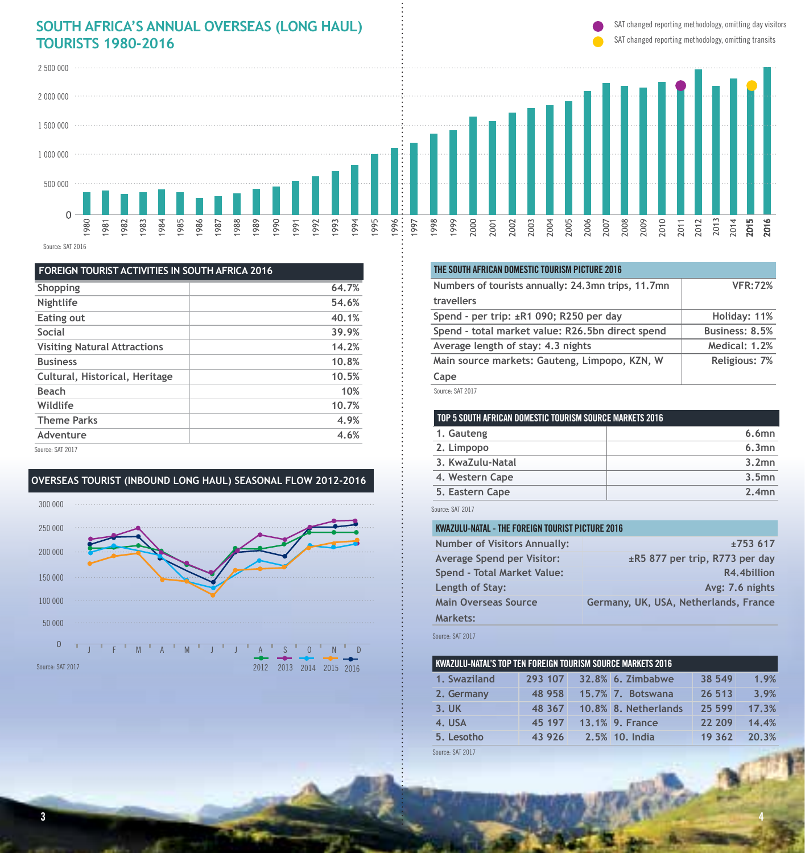### **SOUTH AFRICA'S ANNUAL OVERSEAS (LONG HAUL) TOURISTS 1980-2016** SAT changed reporting methodology, omitting transits

SAT changed reporting methodology, omitting day visitors



Source: SAT 2016

| <b>FOREIGN TOURIST ACTIVITIES IN SOUTH AFRICA 2016</b> |       |
|--------------------------------------------------------|-------|
| Shopping                                               | 64.7% |
| Nightlife                                              | 54.6% |
| Eating out                                             | 40.1% |
| Social                                                 | 39.9% |
| <b>Visiting Natural Attractions</b>                    | 14.2% |
| <b>Business</b>                                        | 10.8% |
| Cultural, Historical, Heritage                         | 10.5% |
| <b>Beach</b>                                           | 10%   |
| Wildlife                                               | 10.7% |
| <b>Theme Parks</b>                                     | 4.9%  |
| Adventure                                              | 4.6%  |
| Source: SAT 2017                                       |       |

## **OVERSEAS TOURIST (INBOUND LONG HAUL) SEASONAL FLOW 2012-2016**



| THE SOUTH AFRICAN DOMESTIC TOURISM PICTURE 2016    |                |
|----------------------------------------------------|----------------|
| Numbers of tourists annually: 24,3mn trips, 11,7mn | <b>VFR:72%</b> |
| travellers                                         |                |
| Spend - per trip: ±R1 090; R250 per day            | Holiday: 11%   |
| Spend - total market value: R26,5bn direct spend   | Business: 8.5% |
| Average length of stay: 4.3 nights                 | Medical: 1.2%  |
| Main source markets: Gauteng, Limpopo, KZN, W      | Religious: 7%  |
| Cape                                               |                |
| Source-SAT 2017                                    |                |

#### e: SAT 2017:

#### **TOP 5 SOUTH AFRICAN DOMESTIC TOURISM SOURCE MARKETS 2016**

| 1. Gauteng       | $6.6$ mn |
|------------------|----------|
| 2. Limpopo       | 6.3mn    |
| 3. KwaZulu-Natal | 3.2mn    |
| 4. Western Cape  | 3.5mn    |
| 5. Eastern Cape  | $2.4$ mn |
|                  |          |

Source: SAT 2017

#### **KWAZULU-NATAL - THE FOREIGN TOURIST PICTURE 2016**

| <b>Number of Visitors Annually:</b> | ±753617                               |
|-------------------------------------|---------------------------------------|
| <b>Average Spend per Visitor:</b>   | ±R5 877 per trip, R773 per day        |
| Spend - Total Market Value:         | R4.4billion                           |
| Length of Stay:                     | Avg: 7.6 nights                       |
| <b>Main Overseas Source</b>         | Germany, UK, USA, Netherlands, France |
| <b>Markets:</b>                     |                                       |
|                                     |                                       |

Source: SAT 2017

| KWAZULU-NATAL'S TOP TEN FOREIGN TOURISM SOURCE MARKETS 2016 |         |  |                      |        |       |
|-------------------------------------------------------------|---------|--|----------------------|--------|-------|
| 1. Swaziland                                                | 293 107 |  | 32.8% 6. Zimbabwe    | 38 549 | 1.9%  |
| 2. Germany                                                  | 48 958  |  | 15.7% 7. Botswana    | 26 513 | 3.9%  |
| $3.$ UK                                                     | 48 367  |  | 10.8% 8. Netherlands | 25 599 | 17.3% |
| 4. USA                                                      | 45 197  |  | 13.1% 9. France      | 22 209 | 14.4% |
| 5. Lesotho                                                  | 43926   |  | 2.5% 10. India       | 19 362 | 20.3% |

Source: SAT 2017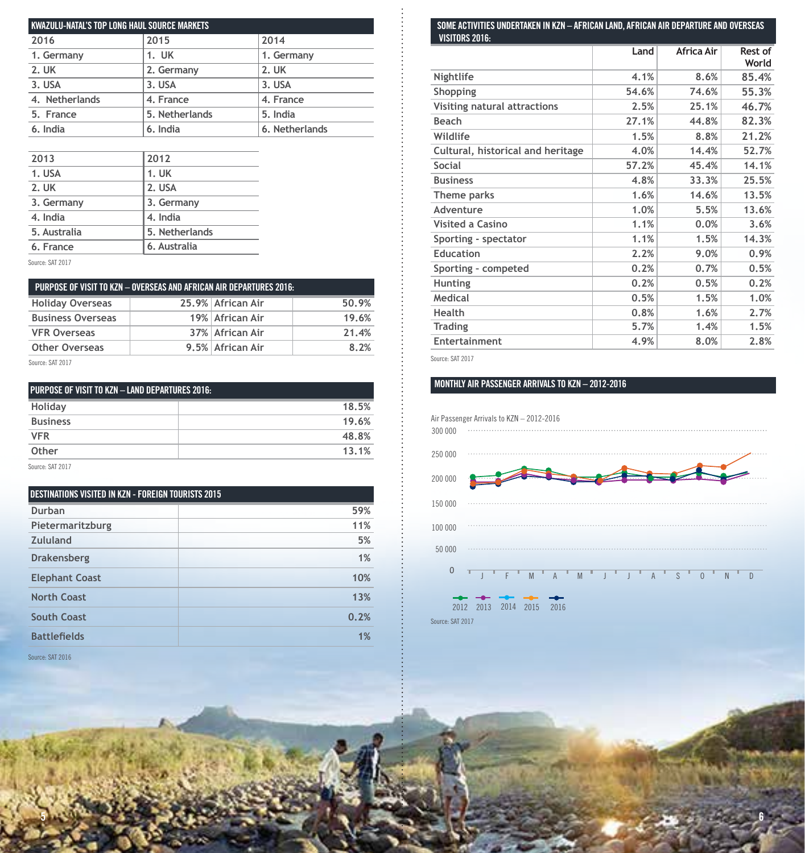| KWAZULU-NATAL'S TOP LONG HAUL SOURCE MARKETS |                |                |  |
|----------------------------------------------|----------------|----------------|--|
| 2016                                         | 2015           | 2014           |  |
| 1. Germany                                   | 1. UK          | 1. Germany     |  |
| 2. UK                                        | 2. Germany     | 2. UK          |  |
| 3. USA                                       | 3. USA         | 3. USA         |  |
| 4. Netherlands                               | 4. France      | 4. France      |  |
| 5. France                                    | 5. Netherlands | 5. India       |  |
| 6. India                                     | 6. India       | 6. Netherlands |  |

| 2013         | 2012           |
|--------------|----------------|
| 1. USA       | 1. UK          |
| 2. UK        | 2. USA         |
| 3. Germany   | 3. Germany     |
| 4. India     | 4. India       |
| 5. Australia | 5. Netherlands |
| 6. France    | 6. Australia   |
|              |                |

Source: SAT 2017

| PURPOSE OF VISIT TO KZN - OVERSEAS AND AFRICAN AIR DEPARTURES 2016: |  |                   |       |  |
|---------------------------------------------------------------------|--|-------------------|-------|--|
| <b>Holiday Overseas</b>                                             |  | 25.9% African Air | 50.9% |  |
| <b>Business Overseas</b>                                            |  | 19% African Air   | 19.6% |  |
| <b>VFR Overseas</b>                                                 |  | 37% African Air   | 21.4% |  |
| <b>Other Overseas</b><br>8.2%<br>9.5% African Air                   |  |                   |       |  |
| - - - - - - - -                                                     |  |                   |       |  |

Source: SAT 2017

| <b>PURPOSE OF VISIT TO KZN - LAND DEPARTURES 2016:</b> |       |  |
|--------------------------------------------------------|-------|--|
| Holiday                                                | 18.5% |  |
| <b>Business</b>                                        | 19.6% |  |
| <b>VFR</b>                                             | 48.8% |  |
| Other                                                  | 13.1% |  |
| 0.00000000000                                          |       |  |

Source: SAT 2017

| DESTINATIONS VISITED IN KZN - FOREIGN TOURISTS 2015 |      |  |
|-----------------------------------------------------|------|--|
| Durban                                              | 59%  |  |
| Pietermaritzburg                                    | 11%  |  |
| Zululand                                            | 5%   |  |
| <b>Drakensberg</b>                                  | 1%   |  |
| <b>Elephant Coast</b>                               | 10%  |  |
| <b>North Coast</b>                                  | 13%  |  |
| <b>South Coast</b>                                  | 0.2% |  |
| <b>Battlefields</b>                                 | 1%   |  |

Source: SAT 2016

#### **SOME ACTIVITIES UNDERTAKEN IN KZN – AFRICAN LAND, AFRICAN AIR DEPARTURE AND OVERSEAS VISITORS 2016:**

| TIJHUNJ ZUTU.                     | Land  | Africa Air | Rest of<br>World |
|-----------------------------------|-------|------------|------------------|
| Nightlife                         | 4.1%  | 8.6%       | 85.4%            |
| Shopping                          | 54.6% | 74.6%      | 55.3%            |
| Visiting natural attractions      | 2.5%  | 25.1%      | 46.7%            |
| Beach                             | 27.1% | 44.8%      | 82.3%            |
| Wildlife                          | 1.5%  | 8.8%       | 21.2%            |
| Cultural, historical and heritage | 4.0%  | 14.4%      | 52.7%            |
| Social                            | 57.2% | 45.4%      | 14.1%            |
| <b>Business</b>                   | 4.8%  | 33.3%      | 25.5%            |
| Theme parks                       | 1.6%  | 14.6%      | 13.5%            |
| Adventure                         | 1.0%  | 5.5%       | 13.6%            |
| <b>Visited a Casino</b>           | 1.1%  | 0.0%       | 3.6%             |
| Sporting - spectator              | 1.1%  | 1.5%       | 14.3%            |
| <b>Education</b>                  | 2.2%  | 9.0%       | 0.9%             |
| Sporting - competed               | 0.2%  | 0.7%       | 0.5%             |
| <b>Hunting</b>                    | 0.2%  | 0.5%       | 0.2%             |
| Medical                           | 0.5%  | 1.5%       | 1.0%             |
| Health                            | 0.8%  | 1.6%       | 2.7%             |
| <b>Trading</b>                    | 5.7%  | 1.4%       | 1.5%             |
| Entertainment                     | 4.9%  | 8.0%       | 2.8%             |

Source: SAT 2017

**5 6**

#### **MONTHLY AIR PASSENGER ARRIVALS TO KZN – 2012-2016**

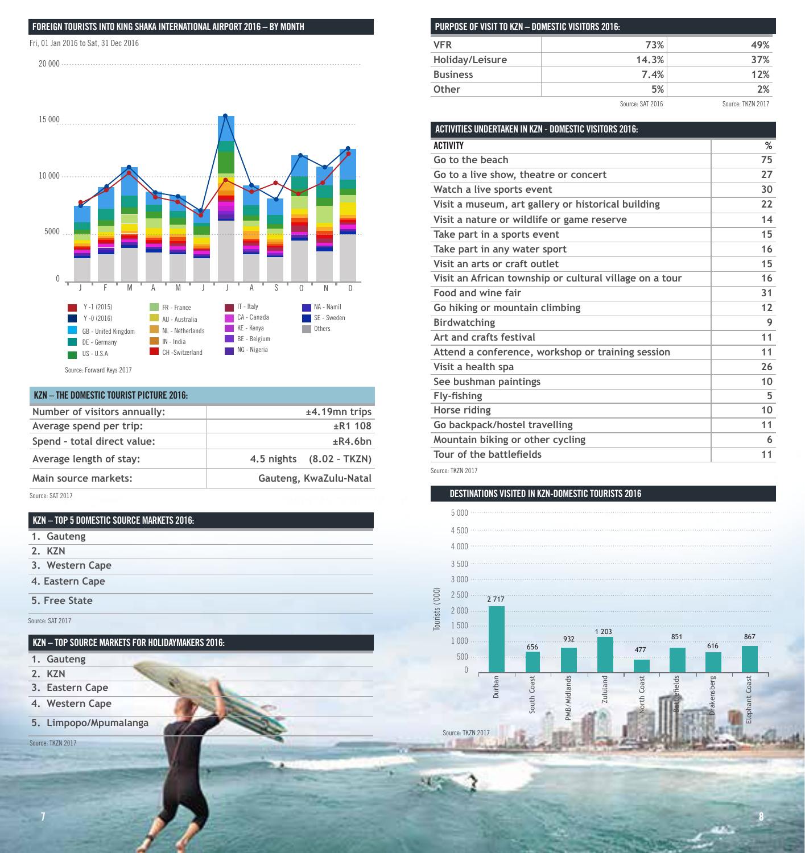#### **FOREIGN TOURISTS INTO KING SHAKA INTERNATIONAL AIRPORT 2016 – BY MONTH**

Fri, 01 Jan 2016 to Sat, 31 Dec 2016





| KZN - THE DOMESTIC TOURIST PICTURE 2016: |                             |
|------------------------------------------|-----------------------------|
| Number of visitors annually:             | $±4.19$ mn trips            |
| Average spend per trip:                  | ±R1108                      |
| Spend - total direct value:              | ±R4.6bn                     |
| Average length of stay:                  | (8.02 - TKZN)<br>4.5 nights |
| Main source markets:                     | Gauteng, KwaZulu-Natal      |
| Source: SAT 2017                         |                             |

| 1. Gauteng      |
|-----------------|
| 2. KZN          |
| 3. Western Cape |
| 4. Eastern Cape |
| 5. Free State   |

Source: SAT 2017

#### **KZN – TOP SOURCE MARKETS FOR HOLIDAYMAKERS 2016:**

- **1. Gauteng**
- **2. KZN**
- **3. Eastern Cape**
- **4. Western Cape**
- **5. Limpopo/Mpumalanga**

Source: TKZN 2017

| PURPOSE OF VISIT TO KZN - DOMESTIC VISITORS 2016: |       |     |
|---------------------------------------------------|-------|-----|
| <b>VFR</b>                                        | 73%   | 49% |
| Holiday/Leisure                                   | 14.3% | 37% |
| <b>Business</b>                                   | 7.4%  | 12% |
| Other                                             | 5%    | 2%  |
| Source: SAT 2016<br>Source: TKZN 2017             |       |     |

| ACTIVITIES UNDERTAKEN IN KZN - DOMESTIC VISITORS 2016:  |    |
|---------------------------------------------------------|----|
| <b>ACTIVITY</b>                                         | %  |
| Go to the beach                                         | 75 |
| Go to a live show, theatre or concert                   | 27 |
| Watch a live sports event                               | 30 |
| Visit a museum, art gallery or historical building      | 22 |
| Visit a nature or wildlife or game reserve              | 14 |
| Take part in a sports event                             | 15 |
| Take part in any water sport                            | 16 |
| Visit an arts or craft outlet                           | 15 |
| Visit an African township or cultural village on a tour | 16 |
| Food and wine fair                                      | 31 |
| Go hiking or mountain climbing                          | 12 |
| <b>Birdwatching</b>                                     | 9  |
| Art and crafts festival                                 | 11 |
| Attend a conference, workshop or training session       | 11 |
| Visit a health spa                                      | 26 |
| See bushman paintings                                   | 10 |
| Fly-fishing                                             | 5  |
| Horse riding                                            | 10 |
| Go backpack/hostel travelling                           | 11 |
| Mountain biking or other cycling                        | 6  |
| Tour of the battlefields                                | 11 |
|                                                         |    |

Source: TKZN 2017

#### **DESTINATIONS VISITED IN KZN-DOMESTIC TOURISTS 2016**

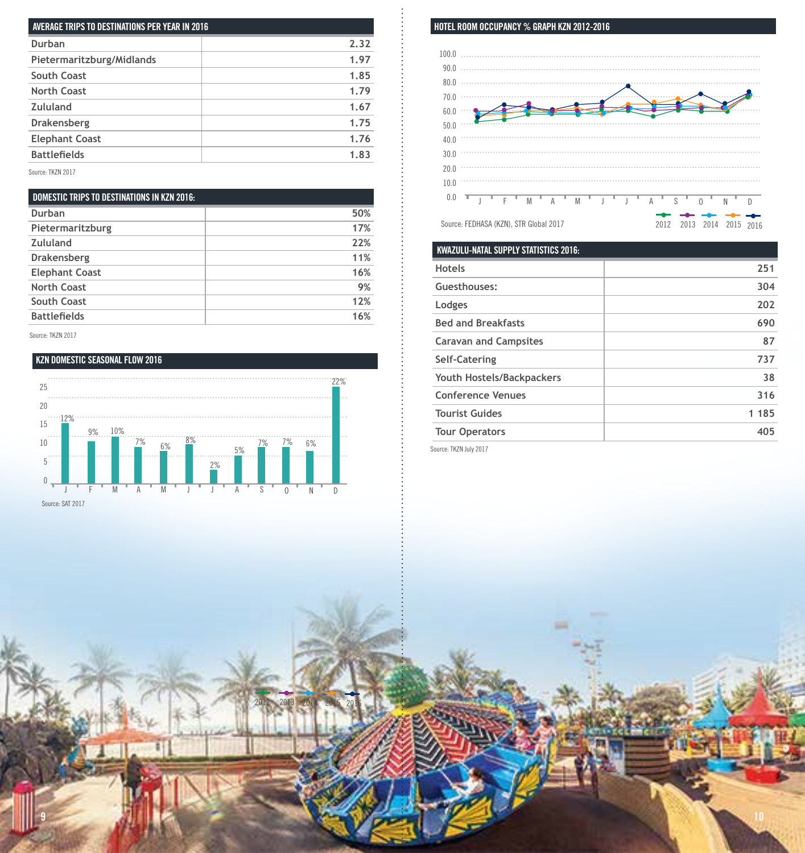| AVERAGE TRIPS TO DESTINATIONS PER YEAR IN 2016 |      |
|------------------------------------------------|------|
| Durban                                         | 2.32 |
| Pietermaritzburg/Midlands                      | 1.97 |
| South Coast                                    | 1.85 |
| North Coast                                    | 1.79 |
| Zululand                                       | 1.67 |
| Drakensberg                                    | 1.75 |
| <b>Elephant Coast</b>                          | 1.76 |
| <b>Battlefields</b>                            | 1.83 |
| Source: TKZN 2017                              |      |

**DOMESTIC TRIPS TO DESTINATIONS IN KZN 2016: Durban 50%** Pietermaritzburg 17% **Zululand 22% Drakensberg 11% Elephant Coast 16% North Coast 9% South Coast 12% Battlefields 16%**

Source: TKZN 2017

#### **KZN DOMESTIC SEASONAL FLOW 2016**



2012 2013 2014 2015 2016

**9 10**

Source: SAT 2017

#### **HOTEL ROOM OCCUPANCY % GRAPH KZN 2012-2016**



| <b>KWAZULU-NATAL SUPPLY STATISTICS 2016:</b> |       |
|----------------------------------------------|-------|
| <b>Hotels</b>                                | 251   |
| Guesthouses:                                 | 304   |
| Lodges                                       | 202   |
| <b>Bed and Breakfasts</b>                    | 690   |
| <b>Caravan and Campsites</b>                 | 87    |
| Self-Catering                                | 737   |
| Youth Hostels/Backpackers                    | 38    |
| <b>Conference Venues</b>                     | 316   |
| <b>Tourist Guides</b>                        | 1 185 |
| <b>Tour Operators</b>                        | 405   |

Source: TKZN July 2017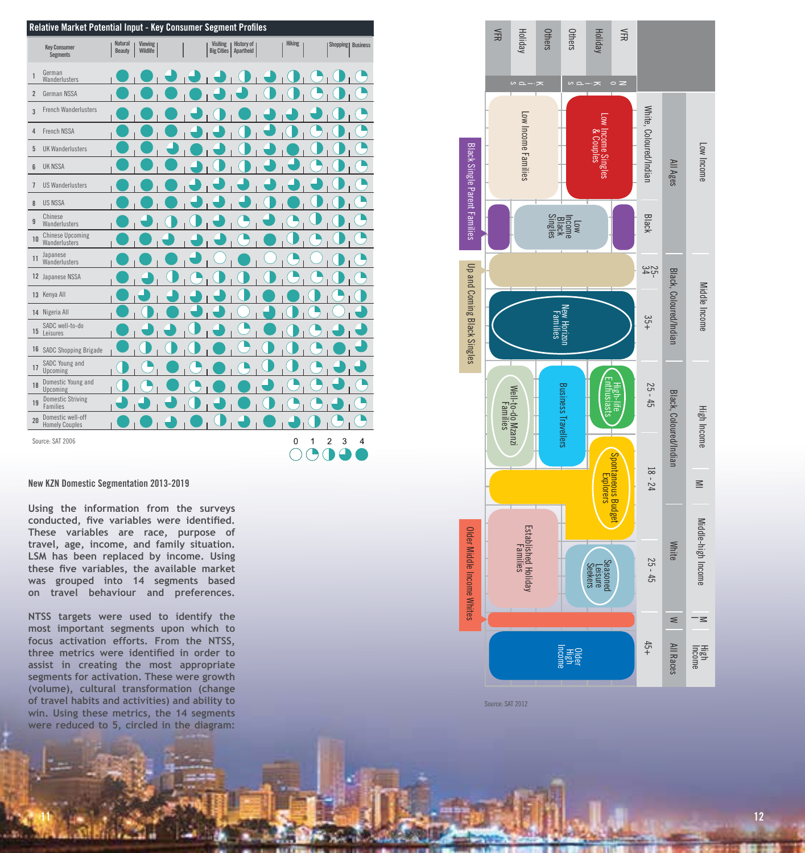|                | Relative Market Potential Input - Key Consumer Segment Profiles |                          |                       |  |                                                      |               |   |                     |                |
|----------------|-----------------------------------------------------------------|--------------------------|-----------------------|--|------------------------------------------------------|---------------|---|---------------------|----------------|
|                | <b>Key Consumer</b><br><b>Segments</b>                          | Natural<br><b>Beauty</b> | Viewing  <br>Wildlife |  | Visiting   History of<br><b>Big Cities</b> Apartheid | <b>Hiking</b> |   | Shopping   Business |                |
| $\mathbf{1}$   | German<br>Wanderlusters                                         |                          |                       |  |                                                      |               |   |                     |                |
| $\overline{2}$ | German NSSA                                                     |                          |                       |  |                                                      |               |   |                     |                |
| $\overline{3}$ | <b>French Wanderlusters</b>                                     |                          |                       |  |                                                      |               |   |                     |                |
| $\overline{4}$ | <b>French NSSA</b>                                              |                          |                       |  |                                                      |               |   |                     |                |
| $\overline{5}$ | <b>UK Wanderlusters</b>                                         |                          |                       |  |                                                      |               |   |                     |                |
| $6\phantom{1}$ | <b>UK NSSA</b>                                                  |                          |                       |  |                                                      |               |   |                     |                |
| $\overline{1}$ | <b>US Wanderlusters</b>                                         |                          |                       |  |                                                      |               |   |                     |                |
| 8              | <b>US NSSA</b>                                                  |                          |                       |  |                                                      |               |   |                     |                |
| $\overline{9}$ | Chinese<br>Wanderlusters                                        |                          |                       |  |                                                      |               |   |                     |                |
| 10             | <b>Chinese Upcoming</b><br>Wanderlusters                        |                          |                       |  |                                                      |               |   |                     |                |
| 11             | Japanese<br>Wanderlusters                                       |                          |                       |  |                                                      |               |   |                     |                |
|                | 12 Japanese NSSA                                                |                          |                       |  |                                                      |               |   |                     |                |
|                | 13 Kenya All                                                    |                          |                       |  |                                                      |               |   |                     |                |
|                | 14 Nigeria All                                                  |                          |                       |  |                                                      |               |   |                     |                |
|                | SADC well-to-do<br>15 Leisures                                  |                          |                       |  |                                                      |               |   |                     |                |
|                | 16 SADC Shopping Brigade                                        |                          |                       |  |                                                      |               |   |                     |                |
| 17             | SADC Young and<br>Upcoming                                      |                          |                       |  |                                                      |               |   |                     |                |
| 18             | Domestic Young and<br>Upcoming                                  |                          |                       |  |                                                      |               |   |                     |                |
| 19             | <b>Domestic Striving</b><br>Families                            |                          |                       |  |                                                      |               |   |                     |                |
| 20             | Domestic well-off<br><b>Homely Couples</b>                      |                          |                       |  |                                                      |               |   |                     |                |
|                | Source: SAT 2006                                                |                          |                       |  |                                                      | $\mathbf 0$   | 1 | $\overline{2}$<br>3 | $\overline{4}$ |

#### **New KZN Domestic Segmentation 2013-2019**

**Using the information from the surveys conducted, five variables were identified. These variables are race, purpose of travel, age, income, and family situation. LSM has been replaced by income. Using these five variables, the available market was grouped into 14 segments based on travel behaviour and preferences.** 

**NTSS targets were used to identify the most important segments upon which to focus activation efforts. From the NTSS, three metrics were identified in order to assist in creating the most appropriate segments for activation. These were growth (volume), cultural transformation (change of travel habits and activities) and ability to win. Using these metrics, the 14 segments were reduced to 5, circled in the diagram:**



Source: SAT 2012

**11 12**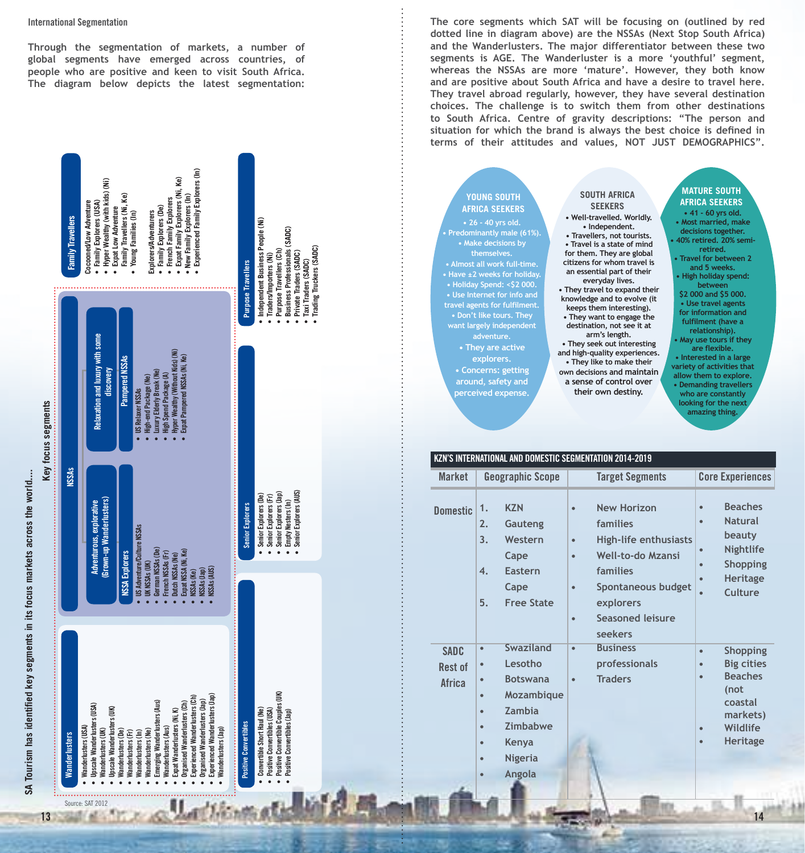#### **International Segmentation**

**Through the segmentation of markets, a number of global segments have emerged across countries, of people who are positive and keen to visit South Africa. The diagram below depicts the latest segmentation:**

**The core segments which SAT will be focusing on (outlined by red dotted line in diagram above) are the NSSAs (Next Stop South Africa) and the Wanderlusters. The major differentiator between these two segments is AGE. The Wanderluster is a more 'youthful' segment, whereas the NSSAs are more 'mature'. However, they both know and are positive about South Africa and have a desire to travel here. They travel abroad regularly, however, they have several destination choices. The challenge is to switch them from other destinations to South Africa. Centre of gravity descriptions: "The person and situation for which the brand is always the best choice is defined in terms of their attitudes and values, NOT JUST DEMOGRAPHICS".**

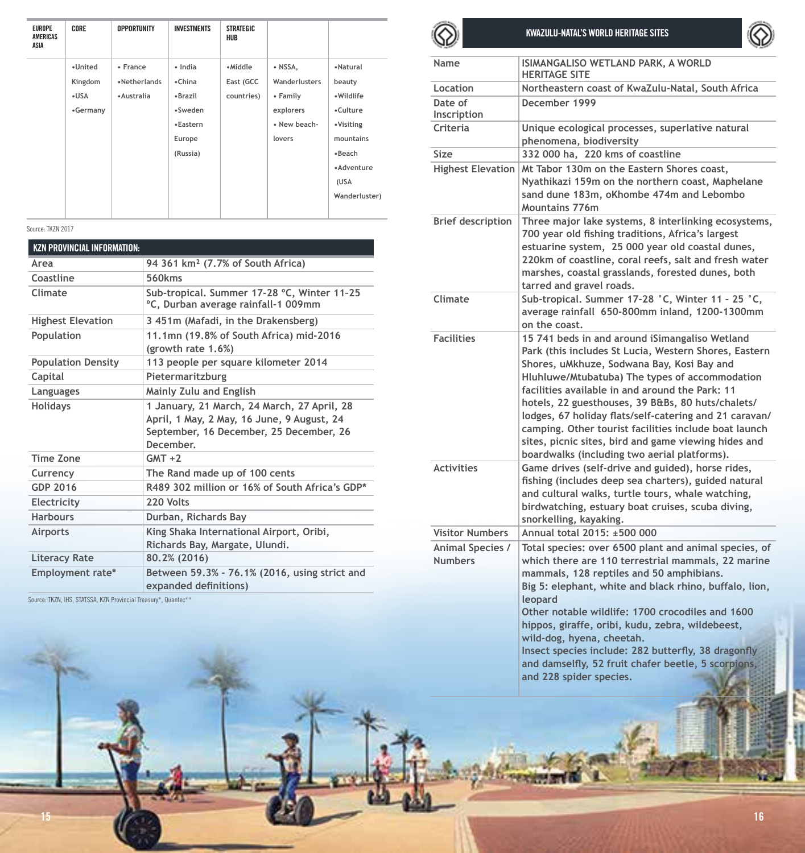| <b>EUROPE</b><br>AMERICAS<br>ASIA | CORE                                     | <b>OPPORTUNITY</b>                      | <b>INVESTMENTS</b>                                                        | <b>STRATEGIC</b><br><b>HUB</b>     |                                                                             |                                                                                                        |
|-----------------------------------|------------------------------------------|-----------------------------------------|---------------------------------------------------------------------------|------------------------------------|-----------------------------------------------------------------------------|--------------------------------------------------------------------------------------------------------|
|                                   | •United<br>Kingdom<br>$-USA$<br>•Germany | • France<br>•Netherlands<br>· Australia | · India<br>•China<br>•Brazil<br>•Sweden<br>•Eastern<br>Europe<br>(Russia) | •Middle<br>East (GCC<br>countries) | • NSSA.<br>Wanderlusters<br>• Family<br>explorers<br>· New beach-<br>lovers | •Natural<br>beauty<br>• Wildlife<br>•Culture<br>•Visiting<br>mountains<br>•Beach<br>•Adventure<br>(USA |
|                                   |                                          |                                         |                                                                           |                                    |                                                                             | Wanderluster)                                                                                          |

Source: TKZN 2017

| <b>KZN PROVINCIAL INFORMATION:</b> |                                                                                                                                                   |
|------------------------------------|---------------------------------------------------------------------------------------------------------------------------------------------------|
| Area                               | 94 361 km <sup>2</sup> (7.7% of South Africa)                                                                                                     |
| Coastline                          | 560 <sub>kms</sub>                                                                                                                                |
| Climate                            | Sub-tropical, Summer 17-28 °C, Winter 11-25<br>°C, Durban average rainfall-1 009mm                                                                |
| <b>Highest Elevation</b>           | 3 451m (Mafadi, in the Drakensberg)                                                                                                               |
| Population                         | 11.1mn (19.8% of South Africa) mid-2016<br>(growth rate 1.6%)                                                                                     |
| <b>Population Density</b>          | 113 people per square kilometer 2014                                                                                                              |
| Capital                            | Pietermaritzburg                                                                                                                                  |
| Languages                          | Mainly Zulu and English                                                                                                                           |
| <b>Holidays</b>                    | 1 January, 21 March, 24 March, 27 April, 28<br>April, 1 May, 2 May, 16 June, 9 August, 24<br>September, 16 December, 25 December, 26<br>December. |
| Time Zone                          | $GMT + 2$                                                                                                                                         |
| Currency                           | The Rand made up of 100 cents                                                                                                                     |
| GDP 2016                           | R489 302 million or 16% of South Africa's GDP*                                                                                                    |
| Electricity                        | 220 Volts                                                                                                                                         |
| <b>Harbours</b>                    | Durban, Richards Bay                                                                                                                              |
| Airports                           | King Shaka International Airport, Oribi,<br>Richards Bay, Margate, Ulundi.                                                                        |
| <b>Literacy Rate</b>               | 80.2% (2016)                                                                                                                                      |
| Employment rate*                   | Between 59.3% - 76.1% (2016, using strict and<br>expanded definitions)                                                                            |

Source: TKZN, IHS, STATSSA, KZN Provincial Treasury\*, Quantec\*\*



**KWAZULU-NATAL'S WORLD HERITAGE SITES** 



| Name                                                         | ISIMANGALISO WETLAND PARK, A WORLD<br><b>HERITAGE SITE</b>                                                                                                                                                                                                                                                                                                                                                                                                                                                                                 |
|--------------------------------------------------------------|--------------------------------------------------------------------------------------------------------------------------------------------------------------------------------------------------------------------------------------------------------------------------------------------------------------------------------------------------------------------------------------------------------------------------------------------------------------------------------------------------------------------------------------------|
| Location                                                     | Northeastern coast of KwaZulu-Natal, South Africa                                                                                                                                                                                                                                                                                                                                                                                                                                                                                          |
| Date of<br>Inscription                                       | December 1999                                                                                                                                                                                                                                                                                                                                                                                                                                                                                                                              |
| Criteria                                                     | Unique ecological processes, superlative natural<br>phenomena, biodiversity                                                                                                                                                                                                                                                                                                                                                                                                                                                                |
| Size                                                         | 332 000 ha, 220 kms of coastline                                                                                                                                                                                                                                                                                                                                                                                                                                                                                                           |
| <b>Highest Elevation</b>                                     | Mt Tabor 130m on the Eastern Shores coast,<br>Nyathikazi 159m on the northern coast, Maphelane<br>sand dune 183m, oKhombe 474m and Lebombo<br>Mountains 776m                                                                                                                                                                                                                                                                                                                                                                               |
| <b>Brief description</b>                                     | Three major lake systems, 8 interlinking ecosystems,<br>700 year old fishing traditions, Africa's largest<br>estuarine system, 25 000 year old coastal dunes,<br>220km of coastline, coral reefs, salt and fresh water<br>marshes, coastal grasslands, forested dunes, both<br>tarred and gravel roads,                                                                                                                                                                                                                                    |
| Climate                                                      | Sub-tropical. Summer 17-28 °C, Winter 11 - 25 °C,<br>average rainfall 650-800mm inland, 1200-1300mm<br>on the coast.                                                                                                                                                                                                                                                                                                                                                                                                                       |
| <b>Facilities</b>                                            | 15 741 beds in and around iSimangaliso Wetland<br>Park (this includes St Lucia, Western Shores, Eastern<br>Shores, uMkhuze, Sodwana Bay, Kosi Bay and<br>Hluhluwe/Mtubatuba) The types of accommodation<br>facilities available in and around the Park: 11<br>hotels, 22 guesthouses, 39 B&Bs, 80 huts/chalets/<br>lodges, 67 holiday flats/self-catering and 21 caravan/<br>camping. Other tourist facilities include boat launch<br>sites, picnic sites, bird and game viewing hides and<br>boardwalks (including two aerial platforms). |
| <b>Activities</b>                                            | Game drives (self-drive and guided), horse rides,<br>fishing (includes deep sea charters), guided natural<br>and cultural walks, turtle tours, whale watching,<br>birdwatching, estuary boat cruises, scuba diving,<br>snorkelling, kayaking.                                                                                                                                                                                                                                                                                              |
| <b>Visitor Numbers</b><br>Animal Species /<br><b>Numbers</b> | Annual total 2015: ±500 000<br>Total species: over 6500 plant and animal species, of<br>which there are 110 terrestrial mammals, 22 marine<br>mammals, 128 reptiles and 50 amphibians.<br>Big 5: elephant, white and black rhino, buffalo, lion,<br>leopard                                                                                                                                                                                                                                                                                |
|                                                              | Other notable wildlife: 1700 crocodiles and 1600<br>hippos, giraffe, oribi, kudu, zebra, wildebeest,<br>wild-dog, hyena, cheetah.<br>Insect species include: 282 butterfly, 38 dragonfly<br>and damselfly, 52 fruit chafer beetle, 5 scorpions,<br>and 228 spider species.                                                                                                                                                                                                                                                                 |